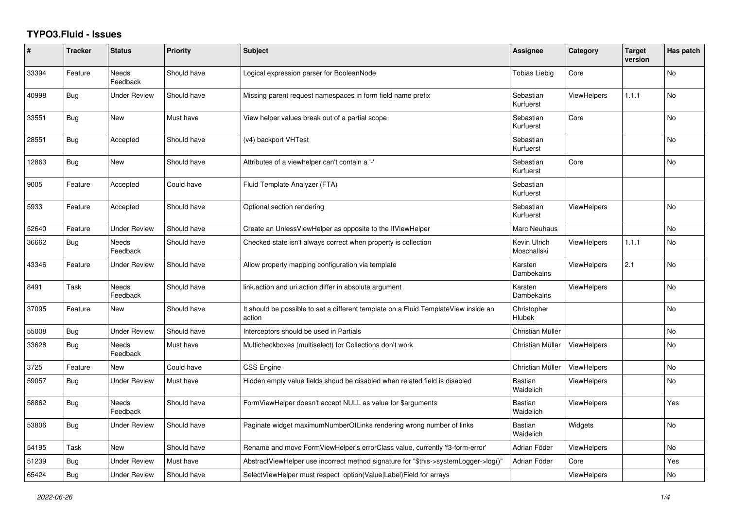## **TYPO3.Fluid - Issues**

| #     | <b>Tracker</b> | <b>Status</b>            | <b>Priority</b> | <b>Subject</b>                                                                                | Assignee                    | Category           | <b>Target</b><br>version | Has patch      |
|-------|----------------|--------------------------|-----------------|-----------------------------------------------------------------------------------------------|-----------------------------|--------------------|--------------------------|----------------|
| 33394 | Feature        | <b>Needs</b><br>Feedback | Should have     | Logical expression parser for BooleanNode                                                     | <b>Tobias Liebig</b>        | Core               |                          | <b>No</b>      |
| 40998 | <b>Bug</b>     | <b>Under Review</b>      | Should have     | Missing parent request namespaces in form field name prefix                                   | Sebastian<br>Kurfuerst      | <b>ViewHelpers</b> | 1.1.1                    | N <sub>o</sub> |
| 33551 | <b>Bug</b>     | New                      | Must have       | View helper values break out of a partial scope                                               | Sebastian<br>Kurfuerst      | Core               |                          | No             |
| 28551 | Bug            | Accepted                 | Should have     | (v4) backport VHTest                                                                          | Sebastian<br>Kurfuerst      |                    |                          | No             |
| 12863 | <b>Bug</b>     | <b>New</b>               | Should have     | Attributes of a viewhelper can't contain a '-'                                                | Sebastian<br>Kurfuerst      | Core               |                          | <b>No</b>      |
| 9005  | Feature        | Accepted                 | Could have      | Fluid Template Analyzer (FTA)                                                                 | Sebastian<br>Kurfuerst      |                    |                          |                |
| 5933  | Feature        | Accepted                 | Should have     | Optional section rendering                                                                    | Sebastian<br>Kurfuerst      | <b>ViewHelpers</b> |                          | <b>No</b>      |
| 52640 | Feature        | <b>Under Review</b>      | Should have     | Create an UnlessViewHelper as opposite to the IfViewHelper                                    | Marc Neuhaus                |                    |                          | No             |
| 36662 | Bug            | <b>Needs</b><br>Feedback | Should have     | Checked state isn't always correct when property is collection                                | Kevin Ulrich<br>Moschallski | <b>ViewHelpers</b> | 1.1.1                    | <b>No</b>      |
| 43346 | Feature        | Under Review             | Should have     | Allow property mapping configuration via template                                             | Karsten<br>Dambekalns       | <b>ViewHelpers</b> | 2.1                      | No             |
| 8491  | Task           | Needs<br>Feedback        | Should have     | link.action and uri.action differ in absolute argument                                        | Karsten<br>Dambekalns       | <b>ViewHelpers</b> |                          | No             |
| 37095 | Feature        | New                      | Should have     | It should be possible to set a different template on a Fluid TemplateView inside an<br>action | Christopher<br>Hlubek       |                    |                          | <b>No</b>      |
| 55008 | Bug            | <b>Under Review</b>      | Should have     | Interceptors should be used in Partials                                                       | Christian Müller            |                    |                          | <b>No</b>      |
| 33628 | Bug            | Needs<br>Feedback        | Must have       | Multicheckboxes (multiselect) for Collections don't work                                      | Christian Müller            | <b>ViewHelpers</b> |                          | No             |
| 3725  | Feature        | New                      | Could have      | CSS Engine                                                                                    | Christian Müller            | ViewHelpers        |                          | No             |
| 59057 | <b>Bug</b>     | <b>Under Review</b>      | Must have       | Hidden empty value fields shoud be disabled when related field is disabled                    | Bastian<br>Waidelich        | <b>ViewHelpers</b> |                          | N <sub>o</sub> |
| 58862 | <b>Bug</b>     | Needs<br>Feedback        | Should have     | FormViewHelper doesn't accept NULL as value for \$arguments                                   | Bastian<br>Waidelich        | <b>ViewHelpers</b> |                          | Yes            |
| 53806 | <b>Bug</b>     | Under Review             | Should have     | Paginate widget maximumNumberOfLinks rendering wrong number of links                          | Bastian<br>Waidelich        | Widgets            |                          | No             |
| 54195 | Task           | New                      | Should have     | Rename and move FormViewHelper's errorClass value, currently 'f3-form-error'                  | Adrian Föder                | ViewHelpers        |                          | <b>No</b>      |
| 51239 | Bug            | <b>Under Review</b>      | Must have       | AbstractViewHelper use incorrect method signature for "\$this->systemLogger->log()"           | Adrian Föder                | Core               |                          | Yes            |
| 65424 | Bug            | <b>Under Review</b>      | Should have     | SelectViewHelper must respect option(Value Label)Field for arrays                             |                             | ViewHelpers        |                          | No             |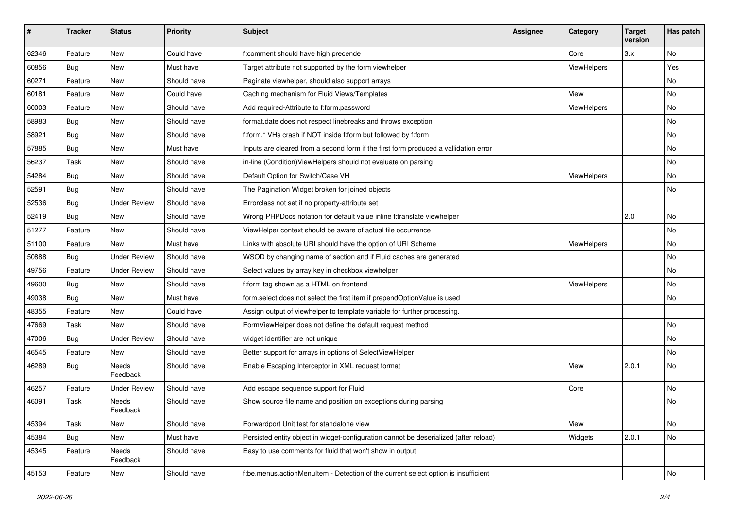| #     | <b>Tracker</b> | <b>Status</b>            | Priority    | <b>Subject</b>                                                                        | <b>Assignee</b> | Category           | <b>Target</b><br>version | Has patch |
|-------|----------------|--------------------------|-------------|---------------------------------------------------------------------------------------|-----------------|--------------------|--------------------------|-----------|
| 62346 | Feature        | New                      | Could have  | f:comment should have high precende                                                   |                 | Core               | 3.x                      | <b>No</b> |
| 60856 | Bug            | New                      | Must have   | Target attribute not supported by the form viewhelper                                 |                 | ViewHelpers        |                          | Yes       |
| 60271 | Feature        | New                      | Should have | Paginate viewhelper, should also support arrays                                       |                 |                    |                          | No        |
| 60181 | Feature        | New                      | Could have  | Caching mechanism for Fluid Views/Templates                                           |                 | View               |                          | No        |
| 60003 | Feature        | New                      | Should have | Add required-Attribute to f:form.password                                             |                 | ViewHelpers        |                          | No        |
| 58983 | Bug            | New                      | Should have | format.date does not respect linebreaks and throws exception                          |                 |                    |                          | No        |
| 58921 | <b>Bug</b>     | New                      | Should have | f:form.* VHs crash if NOT inside f:form but followed by f:form                        |                 |                    |                          | No        |
| 57885 | <b>Bug</b>     | New                      | Must have   | Inputs are cleared from a second form if the first form produced a vallidation error  |                 |                    |                          | No        |
| 56237 | Task           | New                      | Should have | in-line (Condition) ViewHelpers should not evaluate on parsing                        |                 |                    |                          | No        |
| 54284 | Bug            | New                      | Should have | Default Option for Switch/Case VH                                                     |                 | ViewHelpers        |                          | No        |
| 52591 | Bug            | <b>New</b>               | Should have | The Pagination Widget broken for joined objects                                       |                 |                    |                          | No        |
| 52536 | <b>Bug</b>     | <b>Under Review</b>      | Should have | Errorclass not set if no property-attribute set                                       |                 |                    |                          |           |
| 52419 | Bug            | <b>New</b>               | Should have | Wrong PHPDocs notation for default value inline f:translate viewhelper                |                 |                    | 2.0                      | No        |
| 51277 | Feature        | New                      | Should have | ViewHelper context should be aware of actual file occurrence                          |                 |                    |                          | No        |
| 51100 | Feature        | New                      | Must have   | Links with absolute URI should have the option of URI Scheme                          |                 | <b>ViewHelpers</b> |                          | No        |
| 50888 | <b>Bug</b>     | <b>Under Review</b>      | Should have | WSOD by changing name of section and if Fluid caches are generated                    |                 |                    |                          | No        |
| 49756 | Feature        | <b>Under Review</b>      | Should have | Select values by array key in checkbox viewhelper                                     |                 |                    |                          | No        |
| 49600 | <b>Bug</b>     | New                      | Should have | f:form tag shown as a HTML on frontend                                                |                 | ViewHelpers        |                          | No        |
| 49038 | Bug            | New                      | Must have   | form.select does not select the first item if prependOptionValue is used              |                 |                    |                          | No        |
| 48355 | Feature        | New                      | Could have  | Assign output of viewhelper to template variable for further processing.              |                 |                    |                          |           |
| 47669 | Task           | New                      | Should have | FormViewHelper does not define the default request method                             |                 |                    |                          | No        |
| 47006 | Bug            | <b>Under Review</b>      | Should have | widget identifier are not unique                                                      |                 |                    |                          | No        |
| 46545 | Feature        | New                      | Should have | Better support for arrays in options of SelectViewHelper                              |                 |                    |                          | No        |
| 46289 | <b>Bug</b>     | <b>Needs</b><br>Feedback | Should have | Enable Escaping Interceptor in XML request format                                     |                 | View               | 2.0.1                    | No        |
| 46257 | Feature        | <b>Under Review</b>      | Should have | Add escape sequence support for Fluid                                                 |                 | Core               |                          | <b>No</b> |
| 46091 | Task           | Needs<br>Feedback        | Should have | Show source file name and position on exceptions during parsing                       |                 |                    |                          | No        |
| 45394 | Task           | New                      | Should have | Forwardport Unit test for standalone view                                             |                 | View               |                          | No        |
| 45384 | <b>Bug</b>     | New                      | Must have   | Persisted entity object in widget-configuration cannot be deserialized (after reload) |                 | Widgets            | 2.0.1                    | No        |
| 45345 | Feature        | Needs<br>Feedback        | Should have | Easy to use comments for fluid that won't show in output                              |                 |                    |                          |           |
| 45153 | Feature        | New                      | Should have | f:be.menus.actionMenuItem - Detection of the current select option is insufficient    |                 |                    |                          | No        |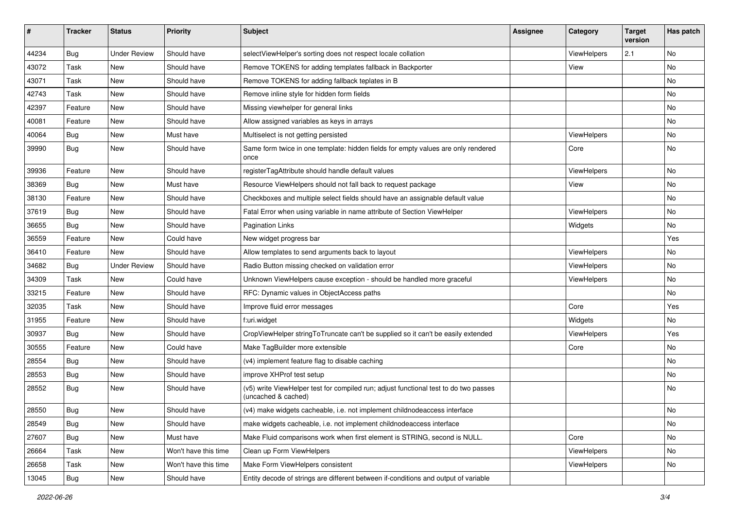| #     | <b>Tracker</b> | <b>Status</b>       | <b>Priority</b>      | <b>Subject</b>                                                                                              | <b>Assignee</b> | Category    | <b>Target</b><br>version | Has patch |
|-------|----------------|---------------------|----------------------|-------------------------------------------------------------------------------------------------------------|-----------------|-------------|--------------------------|-----------|
| 44234 | Bug            | <b>Under Review</b> | Should have          | selectViewHelper's sorting does not respect locale collation                                                |                 | ViewHelpers | 2.1                      | <b>No</b> |
| 43072 | Task           | New                 | Should have          | Remove TOKENS for adding templates fallback in Backporter                                                   |                 | View        |                          | No        |
| 43071 | Task           | New                 | Should have          | Remove TOKENS for adding fallback teplates in B                                                             |                 |             |                          | No        |
| 42743 | Task           | New                 | Should have          | Remove inline style for hidden form fields                                                                  |                 |             |                          | No        |
| 42397 | Feature        | New                 | Should have          | Missing viewhelper for general links                                                                        |                 |             |                          | No        |
| 40081 | Feature        | New                 | Should have          | Allow assigned variables as keys in arrays                                                                  |                 |             |                          | No        |
| 40064 | Bug            | New                 | Must have            | Multiselect is not getting persisted                                                                        |                 | ViewHelpers |                          | No        |
| 39990 | Bug            | New                 | Should have          | Same form twice in one template: hidden fields for empty values are only rendered<br>once                   |                 | Core        |                          | No        |
| 39936 | Feature        | New                 | Should have          | registerTagAttribute should handle default values                                                           |                 | ViewHelpers |                          | No        |
| 38369 | Bug            | New                 | Must have            | Resource ViewHelpers should not fall back to request package                                                |                 | View        |                          | No        |
| 38130 | Feature        | New                 | Should have          | Checkboxes and multiple select fields should have an assignable default value                               |                 |             |                          | No        |
| 37619 | Bug            | New                 | Should have          | Fatal Error when using variable in name attribute of Section ViewHelper                                     |                 | ViewHelpers |                          | No        |
| 36655 | Bug            | New                 | Should have          | <b>Pagination Links</b>                                                                                     |                 | Widgets     |                          | No        |
| 36559 | Feature        | New                 | Could have           | New widget progress bar                                                                                     |                 |             |                          | Yes       |
| 36410 | Feature        | New                 | Should have          | Allow templates to send arguments back to layout                                                            |                 | ViewHelpers |                          | No        |
| 34682 | Bug            | <b>Under Review</b> | Should have          | Radio Button missing checked on validation error                                                            |                 | ViewHelpers |                          | No        |
| 34309 | Task           | New                 | Could have           | Unknown ViewHelpers cause exception - should be handled more graceful                                       |                 | ViewHelpers |                          | No        |
| 33215 | Feature        | New                 | Should have          | RFC: Dynamic values in ObjectAccess paths                                                                   |                 |             |                          | <b>No</b> |
| 32035 | Task           | New                 | Should have          | Improve fluid error messages                                                                                |                 | Core        |                          | Yes       |
| 31955 | Feature        | New                 | Should have          | f:uri.widget                                                                                                |                 | Widgets     |                          | No        |
| 30937 | Bug            | New                 | Should have          | CropViewHelper stringToTruncate can't be supplied so it can't be easily extended                            |                 | ViewHelpers |                          | Yes       |
| 30555 | Feature        | New                 | Could have           | Make TagBuilder more extensible                                                                             |                 | Core        |                          | No        |
| 28554 | Bug            | New                 | Should have          | (v4) implement feature flag to disable caching                                                              |                 |             |                          | <b>No</b> |
| 28553 | Bug            | New                 | Should have          | improve XHProf test setup                                                                                   |                 |             |                          | No        |
| 28552 | Bug            | New                 | Should have          | (v5) write ViewHelper test for compiled run; adjust functional test to do two passes<br>(uncached & cached) |                 |             |                          | <b>No</b> |
| 28550 | Bug            | New                 | Should have          | (v4) make widgets cacheable, i.e. not implement childnodeaccess interface                                   |                 |             |                          | No        |
| 28549 | <b>Bug</b>     | New                 | Should have          | make widgets cacheable, i.e. not implement childnodeaccess interface                                        |                 |             |                          | No        |
| 27607 | Bug            | New                 | Must have            | Make Fluid comparisons work when first element is STRING, second is NULL.                                   |                 | Core        |                          | No        |
| 26664 | Task           | New                 | Won't have this time | Clean up Form ViewHelpers                                                                                   |                 | ViewHelpers |                          | No        |
| 26658 | Task           | New                 | Won't have this time | Make Form ViewHelpers consistent                                                                            |                 | ViewHelpers |                          | No        |
| 13045 | Bug            | New                 | Should have          | Entity decode of strings are different between if-conditions and output of variable                         |                 |             |                          |           |